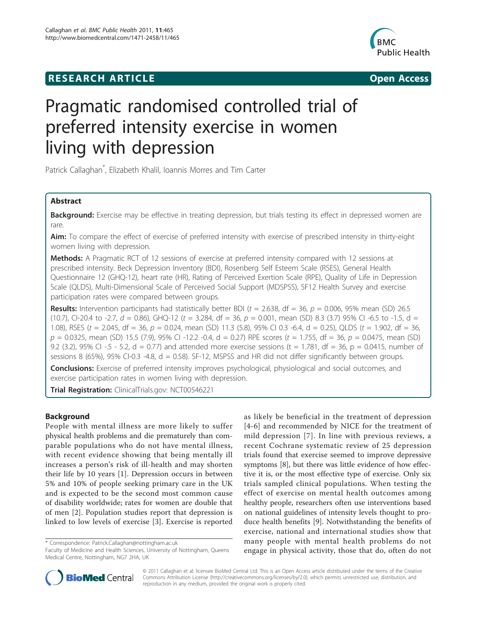## **RESEARCH ARTICLE Example 2008 CONSIDERING ACCESS**



# Pragmatic randomised controlled trial of preferred intensity exercise in women living with depression

Patrick Callaghan\* , Elizabeth Khalil, Ioannis Morres and Tim Carter

## Abstract

Background: Exercise may be effective in treating depression, but trials testing its effect in depressed women are rare.

Aim: To compare the effect of exercise of preferred intensity with exercise of prescribed intensity in thirty-eight women living with depression.

Methods: A Pragmatic RCT of 12 sessions of exercise at preferred intensity compared with 12 sessions at prescribed intensity. Beck Depression Inventory (BDI), Rosenberg Self Esteem Scale (RSES), General Health Questionnaire 12 (GHQ-12), heart rate (HR), Rating of Perceived Exertion Scale (RPE), Quality of Life in Depression Scale (QLDS), Multi-Dimensional Scale of Perceived Social Support (MDSPSS), SF12 Health Survey and exercise participation rates were compared between groups.

**Results:** Intervention participants had statistically better BDI ( $t = 2.638$ , df = 36,  $p = 0.006$ , 95% mean (SD) 26.5 (10.7), CI-20.4 to -2.7,  $d = 0.86$ ), GHQ-12 (t = 3.284, df = 36, p = 0.001, mean (SD) 8.3 (3.7) 95% CI -6.5 to -1.5, d = 1.08), RSES (t = 2.045, df = 36, p = 0.024, mean (SD) 11.3 (5.8), 95% CI 0.3 -6.4, d = 0.25), QLDS (t = 1.902, df = 36,  $p = 0.0325$ , mean (SD) 15.5 (7.9), 95% CI -12.2 -0.4, d = 0.27) RPE scores (t = 1.755, df = 36,  $p = 0.0475$ , mean (SD) 9.2 (3.2), 95% CI -.5 - 5.2, d = 0.77) and attended more exercise sessions (t = 1.781, df = 36, p = 0.0415, number of sessions 8 (65%), 95% CI-0.3 -4.8,  $d = 0.58$ ). SF-12, MSPSS and HR did not differ significantly between groups.

**Conclusions:** Exercise of preferred intensity improves psychological, physiological and social outcomes, and exercise participation rates in women living with depression.

Trial Registration: ClinicalTrials.gov: [NCT00546221](http://www.clinicaltrials.gov/ct2/show/NCT00546221)

## Background

People with mental illness are more likely to suffer physical health problems and die prematurely than comparable populations who do not have mental illness, with recent evidence showing that being mentally ill increases a person's risk of ill-health and may shorten their life by 10 years [\[1](#page-6-0)]. Depression occurs in between 5% and 10% of people seeking primary care in the UK and is expected to be the second most common cause of disability worldwide; rates for women are double that of men [[2](#page-6-0)]. Population studies report that depression is linked to low levels of exercise [\[3](#page-6-0)]. Exercise is reported

\* Correspondence: [Patrick.Callaghan@nottingham.ac.uk](mailto:Patrick.Callaghan@nottingham.ac.uk)

as likely be beneficial in the treatment of depression [[4](#page-6-0)-[6](#page-6-0)] and recommended by NICE for the treatment of mild depression [[7](#page-6-0)]. In line with previous reviews, a recent Cochrane systematic review of 25 depression trials found that exercise seemed to improve depressive symptoms [[8\]](#page-6-0), but there was little evidence of how effective it is, or the most effective type of exercise. Only six trials sampled clinical populations. When testing the effect of exercise on mental health outcomes among healthy people, researchers often use interventions based on national guidelines of intensity levels thought to produce health benefits [\[9\]](#page-6-0). Notwithstanding the benefits of exercise, national and international studies show that many people with mental health problems do not engage in physical activity, those that do, often do not



© 2011 Callaghan et al; licensee BioMed Central Ltd. This is an Open Access article distributed under the terms of the Creative Commons Attribution License [\(http://creativecommons.org/licenses/by/2.0](http://creativecommons.org/licenses/by/2.0)), which permits unrestricted use, distribution, and reproduction in any medium, provided the original work is properly cited.

Faculty of Medicine and Health Sciences, University of Nottingham, Queens Medical Centre, Nottingham, NG7 2HA, UK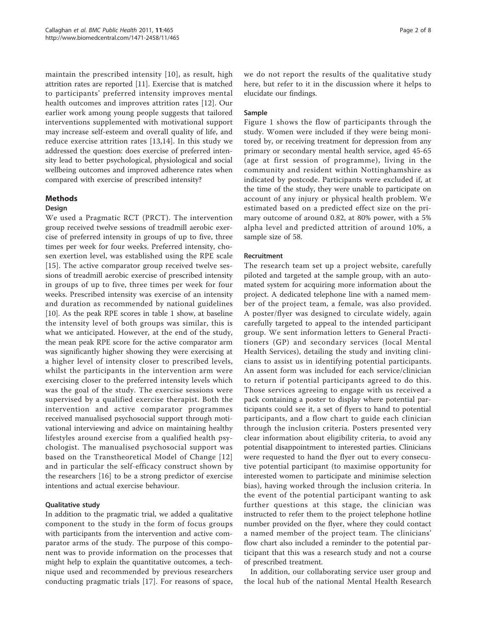maintain the prescribed intensity [[10](#page-6-0)], as result, high attrition rates are reported [\[11\]](#page-6-0). Exercise that is matched to participants' preferred intensity improves mental health outcomes and improves attrition rates [[12\]](#page-6-0). Our earlier work among young people suggests that tailored interventions supplemented with motivational support may increase self-esteem and overall quality of life, and reduce exercise attrition rates [\[13](#page-6-0),[14\]](#page-6-0). In this study we addressed the question: does exercise of preferred intensity lead to better psychological, physiological and social wellbeing outcomes and improved adherence rates when compared with exercise of prescribed intensity?

## Methods

#### Design

We used a Pragmatic RCT (PRCT). The intervention group received twelve sessions of treadmill aerobic exercise of preferred intensity in groups of up to five, three times per week for four weeks. Preferred intensity, chosen exertion level, was established using the RPE scale [[15](#page-6-0)]. The active comparator group received twelve sessions of treadmill aerobic exercise of prescribed intensity in groups of up to five, three times per week for four weeks. Prescribed intensity was exercise of an intensity and duration as recommended by national guidelines [[10\]](#page-6-0). As the peak RPE scores in table [1](#page-2-0) show, at baseline the intensity level of both groups was similar, this is what we anticipated. However, at the end of the study, the mean peak RPE score for the active comparator arm was significantly higher showing they were exercising at a higher level of intensity closer to prescribed levels, whilst the participants in the intervention arm were exercising closer to the preferred intensity levels which was the goal of the study. The exercise sessions were supervised by a qualified exercise therapist. Both the intervention and active comparator programmes received manualised psychosocial support through motivational interviewing and advice on maintaining healthy lifestyles around exercise from a qualified health psychologist. The manualised psychosocial support was based on the Transtheoretical Model of Change [[12](#page-6-0)] and in particular the self-efficacy construct shown by the researchers [\[16](#page-6-0)] to be a strong predictor of exercise intentions and actual exercise behaviour.

#### Qualitative study

In addition to the pragmatic trial, we added a qualitative component to the study in the form of focus groups with participants from the intervention and active comparator arms of the study. The purpose of this component was to provide information on the processes that might help to explain the quantitative outcomes, a technique used and recommended by previous researchers conducting pragmatic trials [[17](#page-6-0)]. For reasons of space, we do not report the results of the qualitative study here, but refer to it in the discussion where it helps to elucidate our findings.

#### Sample

Figure [1](#page-3-0) shows the flow of participants through the study. Women were included if they were being monitored by, or receiving treatment for depression from any primary or secondary mental health service, aged 45-65 (age at first session of programme), living in the community and resident within Nottinghamshire as indicated by postcode. Participants were excluded if, at the time of the study, they were unable to participate on account of any injury or physical health problem. We estimated based on a predicted effect size on the primary outcome of around 0.82, at 80% power, with a 5% alpha level and predicted attrition of around 10%, a sample size of 58.

#### Recruitment

The research team set up a project website, carefully piloted and targeted at the sample group, with an automated system for acquiring more information about the project. A dedicated telephone line with a named member of the project team, a female, was also provided. A poster/flyer was designed to circulate widely, again carefully targeted to appeal to the intended participant group. We sent information letters to General Practitioners (GP) and secondary services (local Mental Health Services), detailing the study and inviting clinicians to assist us in identifying potential participants. An assent form was included for each service/clinician to return if potential participants agreed to do this. Those services agreeing to engage with us received a pack containing a poster to display where potential participants could see it, a set of flyers to hand to potential participants, and a flow chart to guide each clinician through the inclusion criteria. Posters presented very clear information about eligibility criteria, to avoid any potential disappointment to interested parties. Clinicians were requested to hand the flyer out to every consecutive potential participant (to maximise opportunity for interested women to participate and minimise selection bias), having worked through the inclusion criteria. In the event of the potential participant wanting to ask further questions at this stage, the clinician was instructed to refer them to the project telephone hotline number provided on the flyer, where they could contact a named member of the project team. The clinicians' flow chart also included a reminder to the potential participant that this was a research study and not a course of prescribed treatment.

In addition, our collaborating service user group and the local hub of the national Mental Health Research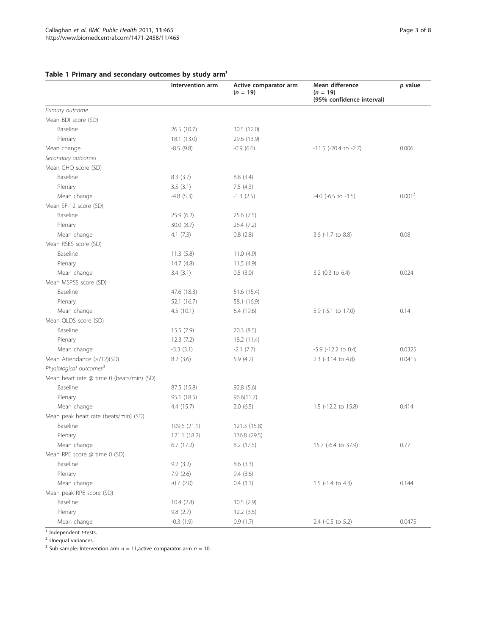## <span id="page-2-0"></span>Table 1 Primary and secondary outcomes by study arm<sup>1</sup>

|                                           | Intervention arm | Active comparator arm<br>$(n = 19)$ | Mean difference<br>$(n = 19)$<br>(95% confidence interval) | $p$ value          |
|-------------------------------------------|------------------|-------------------------------------|------------------------------------------------------------|--------------------|
| Primary outcome                           |                  |                                     |                                                            |                    |
| Mean BDI score (SD)                       |                  |                                     |                                                            |                    |
| Baseline                                  | 26.5 (10.7)      | 30.5 (12.0)                         |                                                            |                    |
| Plenary                                   | 18.1 (13.0)      | 29.6 (13.9)                         |                                                            |                    |
| Mean change                               | $-8.5(9.8)$      | $-0.9(6.6)$                         | $-11.5$ ( $-20.4$ to $-2.7$ )                              | 0.006              |
| Secondary outcomes                        |                  |                                     |                                                            |                    |
| Mean GHQ score (SD)                       |                  |                                     |                                                            |                    |
| Baseline                                  | 8.3(3.7)         | 8.8(3.4)                            |                                                            |                    |
| Plenary                                   | 3.5(3.1)         | 7.5(4.3)                            |                                                            |                    |
| Mean change                               | $-4.8(5.3)$      | $-1.3(2.5)$                         | $-4.0$ ( $-6.5$ to $-1.5$ )                                | 0.001 <sup>2</sup> |
| Mean SF-12 score (SD)                     |                  |                                     |                                                            |                    |
| Baseline                                  | 25.9(6.2)        | 25.6(7.5)                           |                                                            |                    |
| Plenary                                   | 30.0 (8.7)       | 26.4(7.2)                           |                                                            |                    |
| Mean change                               | 4.1(7.3)         | 0.8(2.8)                            | $3.6$ (-1.7 to 8.8)                                        | 0.08               |
| Mean RSES score (SD)                      |                  |                                     |                                                            |                    |
| Baseline                                  | 11.3(5.8)        | 11.0(4.9)                           |                                                            |                    |
| Plenary                                   | 14.7(4.8)        | 11.5(4.9)                           |                                                            |                    |
| Mean change                               | 3.4(3.1)         | 0.5(3.0)                            | 3.2 (0.3 to 6.4)                                           | 0.024              |
| Mean MSPSS score (SD)                     |                  |                                     |                                                            |                    |
| Baseline                                  | 47.6 (18.3)      | 51.6 (15.4)                         |                                                            |                    |
| Plenary                                   | 52.1 (16.7)      | 58.1 (16.9)                         |                                                            |                    |
| Mean change                               | 4.5(10.1)        | 6.4(19.6)                           | 5.9 (-5.1 to 17.0)                                         | 0.14               |
| Mean QLDS score (SD)                      |                  |                                     |                                                            |                    |
| Baseline                                  | 15.5(7.9)        | 20.3(8.5)                           |                                                            |                    |
| Plenary                                   | 12.3(7.2)        | 18.2 (11.4)                         |                                                            |                    |
| Mean change                               | $-3.3(3.1)$      | $-2.1(7.7)$                         | $-5.9$ ( $-12.2$ to 0.4)                                   | 0.0325             |
| Mean Attendance (x/12)(SD)                | 8.2(3.6)         | 5.9(4.2)                            | 2.3 (-3.14 to 4.8)                                         | 0.0415             |
| Physiological outcomes <sup>3</sup>       |                  |                                     |                                                            |                    |
| Mean heart rate @ time 0 (beats/min) (SD) |                  |                                     |                                                            |                    |
| Baseline                                  | 87.5 (15.8)      | 92.8 (5.6)                          |                                                            |                    |
| Plenary                                   | 95.1 (18.5)      | 96.6(11.7)                          |                                                            |                    |
| Mean change                               | 4.4 (15.7)       | 2.0(6.5)                            | 1.5 (-12.2 to 15.8)                                        | 0.414              |
| Mean peak heart rate (beats/min) (SD)     |                  |                                     |                                                            |                    |
| Baseline                                  | 109.6 (21.1)     | 121.3 (15.8)                        |                                                            |                    |
| Plenary                                   | 121.1 (18.2)     | 136.8 (29.5)                        |                                                            |                    |
| Mean change                               | 6.7(17.2)        | 8.2 (17.5)                          | 15.7 (-6.4 to 37.9)                                        | 0.77               |
| Mean RPE score @ time 0 (SD)              |                  |                                     |                                                            |                    |
| Baseline                                  | 9.2(3.2)         | 8.6 (3.3)                           |                                                            |                    |
| Plenary                                   | 7.9(2.6)         | 9.4(3.6)                            |                                                            |                    |
| Mean change                               | $-0.7(2.0)$      | 0.4(1.1)                            | 1.5 (-1.4 to 4.3)                                          | 0.144              |
| Mean peak RPE score (SD)                  |                  |                                     |                                                            |                    |
| Baseline                                  | 10.4(2.8)        | 10.5(2.9)                           |                                                            |                    |
| Plenary                                   | 9.8(2.7)         | 12.2(3.5)                           |                                                            |                    |
| Mean change                               | $-0.3(1.9)$      | 0.9(1.7)                            | 2.4 (-0.5 to 5.2)                                          | 0.0475             |

 $\frac{1}{1}$  Independent t-tests.

<sup>2</sup> Unequal variances.

<sup>3</sup> Sub-sample: Intervention arm  $n = 11$ , active comparator arm  $n = 10$ .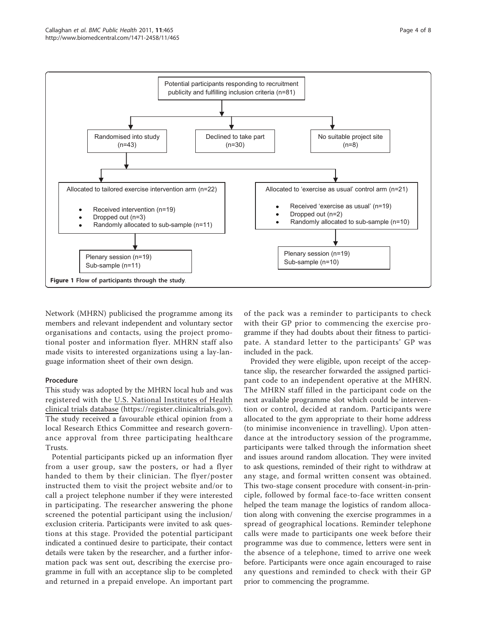<span id="page-3-0"></span>

Network (MHRN) publicised the programme among its members and relevant independent and voluntary sector organisations and contacts, using the project promotional poster and information flyer. MHRN staff also made visits to interested organizations using a lay-language information sheet of their own design.

#### Procedure

This study was adopted by the MHRN local hub and was registered with the U.S. National Institutes of Health clinical trials database [\(https://register.clinicaltrials.gov](https://register.clinicaltrials.gov)). The study received a favourable ethical opinion from a local Research Ethics Committee and research governance approval from three participating healthcare Trusts.

Potential participants picked up an information flyer from a user group, saw the posters, or had a flyer handed to them by their clinician. The flyer/poster instructed them to visit the project website and/or to call a project telephone number if they were interested in participating. The researcher answering the phone screened the potential participant using the inclusion/ exclusion criteria. Participants were invited to ask questions at this stage. Provided the potential participant indicated a continued desire to participate, their contact details were taken by the researcher, and a further information pack was sent out, describing the exercise programme in full with an acceptance slip to be completed and returned in a prepaid envelope. An important part

of the pack was a reminder to participants to check with their GP prior to commencing the exercise programme if they had doubts about their fitness to participate. A standard letter to the participants' GP was included in the pack.

Provided they were eligible, upon receipt of the acceptance slip, the researcher forwarded the assigned participant code to an independent operative at the MHRN. The MHRN staff filled in the participant code on the next available programme slot which could be intervention or control, decided at random. Participants were allocated to the gym appropriate to their home address (to minimise inconvenience in travelling). Upon attendance at the introductory session of the programme, participants were talked through the information sheet and issues around random allocation. They were invited to ask questions, reminded of their right to withdraw at any stage, and formal written consent was obtained. This two-stage consent procedure with consent-in-principle, followed by formal face-to-face written consent helped the team manage the logistics of random allocation along with convening the exercise programmes in a spread of geographical locations. Reminder telephone calls were made to participants one week before their programme was due to commence, letters were sent in the absence of a telephone, timed to arrive one week before. Participants were once again encouraged to raise any questions and reminded to check with their GP prior to commencing the programme.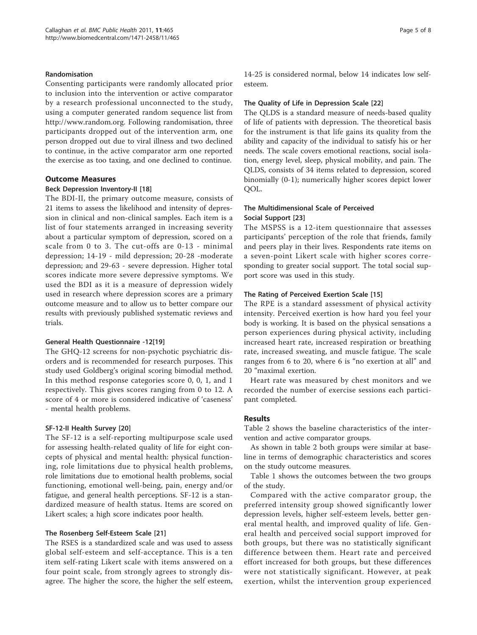#### Randomisation

Consenting participants were randomly allocated prior to inclusion into the intervention or active comparator by a research professional unconnected to the study, using a computer generated random sequence list from <http://www.random.org>. Following randomisation, three participants dropped out of the intervention arm, one person dropped out due to viral illness and two declined to continue, in the active comparator arm one reported the exercise as too taxing, and one declined to continue.

#### Outcome Measures

#### Beck Depression Inventory-II [\[18\]](#page-6-0)

The BDI-II, the primary outcome measure, consists of 21 items to assess the likelihood and intensity of depression in clinical and non-clinical samples. Each item is a list of four statements arranged in increasing severity about a particular symptom of depression, scored on a scale from 0 to 3. The cut-offs are 0-13 - minimal depression; 14-19 - mild depression; 20-28 -moderate depression; and 29-63 - severe depression. Higher total scores indicate more severe depressive symptoms. We used the BDI as it is a measure of depression widely used in research where depression scores are a primary outcome measure and to allow us to better compare our results with previously published systematic reviews and trials.

#### General Health Questionnaire -12[\[19](#page-6-0)]

The GHQ-12 screens for non-psychotic psychiatric disorders and is recommended for research purposes. This study used Goldberg's original scoring bimodial method. In this method response categories score 0, 0, 1, and 1 respectively. This gives scores ranging from 0 to 12. A score of 4 or more is considered indicative of 'caseness' - mental health problems.

#### SF-12-II Health Survey [[20\]](#page-6-0)

The SF-12 is a self-reporting multipurpose scale used for assessing health-related quality of life for eight concepts of physical and mental health: physical functioning, role limitations due to physical health problems, role limitations due to emotional health problems, social functioning, emotional well-being, pain, energy and/or fatigue, and general health perceptions. SF-12 is a standardized measure of health status. Items are scored on Likert scales; a high score indicates poor health.

#### The Rosenberg Self-Esteem Scale [\[21\]](#page-6-0)

The RSES is a standardized scale and was used to assess global self-esteem and self-acceptance. This is a ten item self-rating Likert scale with items answered on a four point scale, from strongly agrees to strongly disagree. The higher the score, the higher the self esteem,

14-25 is considered normal, below 14 indicates low selfesteem.

#### The Quality of Life in Depression Scale [\[22\]](#page-6-0)

The QLDS is a standard measure of needs-based quality of life of patients with depression. The theoretical basis for the instrument is that life gains its quality from the ability and capacity of the individual to satisfy his or her needs. The scale covers emotional reactions, social isolation, energy level, sleep, physical mobility, and pain. The QLDS, consists of 34 items related to depression, scored binomially (0-1); numerically higher scores depict lower QOL.

#### The Multidimensional Scale of Perceived Social Support [[23](#page-7-0)]

The MSPSS is a 12-item questionnaire that assesses participants' perception of the role that friends, family and peers play in their lives. Respondents rate items on a seven-point Likert scale with higher scores corresponding to greater social support. The total social support score was used in this study.

#### The Rating of Perceived Exertion Scale [[15](#page-6-0)]

The RPE is a standard assessment of physical activity intensity. Perceived exertion is how hard you feel your body is working. It is based on the physical sensations a person experiences during physical activity, including increased heart rate, increased respiration or breathing rate, increased sweating, and muscle fatigue. The scale ranges from 6 to 20, where 6 is "no exertion at all" and 20 "maximal exertion.

Heart rate was measured by chest monitors and we recorded the number of exercise sessions each participant completed.

#### Results

Table [2](#page-5-0) shows the baseline characteristics of the intervention and active comparator groups.

As shown in table [2](#page-5-0) both groups were similar at baseline in terms of demographic characteristics and scores on the study outcome measures.

Table [1](#page-2-0) shows the outcomes between the two groups of the study.

Compared with the active comparator group, the preferred intensity group showed significantly lower depression levels, higher self-esteem levels, better general mental health, and improved quality of life. General health and perceived social support improved for both groups, but there was no statistically significant difference between them. Heart rate and perceived effort increased for both groups, but these differences were not statistically significant. However, at peak exertion, whilst the intervention group experienced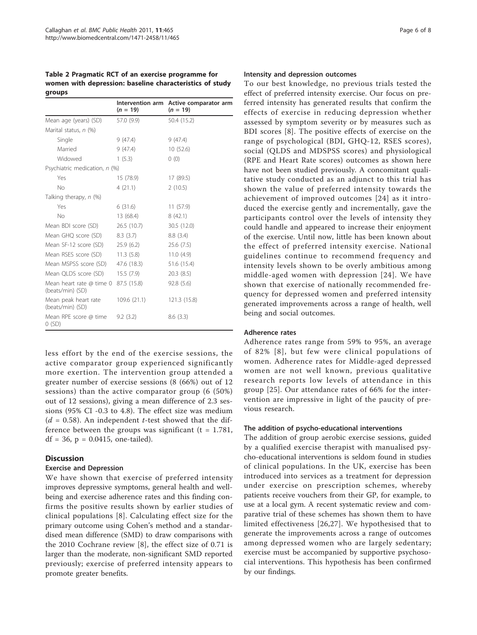<span id="page-5-0"></span>Table 2 Pragmatic RCT of an exercise programme for women with depression: baseline characteristics of study groups

|                                                                 | $(n = 19)$  | Intervention arm Active comparator arm<br>$(n = 19)$ |
|-----------------------------------------------------------------|-------------|------------------------------------------------------|
| Mean age (years) (SD)                                           | 57.0 (9.9)  | 50.4 (15.2)                                          |
| Marital status, n (%)                                           |             |                                                      |
| Single                                                          | 9(47.4)     | 9(47.4)                                              |
| Married                                                         | 9(47.4)     | 10 (52.6)                                            |
| Widowed                                                         | 1(5.3)      | 0(0)                                                 |
| Psychiatric medication, n (%)                                   |             |                                                      |
| Yes                                                             | 15 (78.9)   | 17 (89.5)                                            |
| No                                                              | 4(21.1)     | 2(10.5)                                              |
| Talking therapy, n (%)                                          |             |                                                      |
| Yes                                                             | 6(31.6)     | 11(57.9)                                             |
| <b>No</b>                                                       | 13 (68.4)   | 8(42.1)                                              |
| Mean BDI score (SD)                                             | 26.5(10.7)  | 30.5 (12.0)                                          |
| Mean GHQ score (SD)                                             | 8.3(3.7)    | 8.8(3.4)                                             |
| Mean SF-12 score (SD)                                           | 25.9(6.2)   | 25.6(7.5)                                            |
| Mean RSES score (SD)                                            | 11.3(5.8)   | 11.0(4.9)                                            |
| Mean MSPSS score (SD)                                           | 47.6 (18.3) | 51.6 (15.4)                                          |
| Mean QLDS score (SD)                                            | 15.5(7.9)   | 20.3(8.5)                                            |
| Mean heart rate $\omega$ time 0 87.5 (15.8)<br>(beats/min) (SD) |             | 92.8(5.6)                                            |
| Mean peak heart rate<br>(beats/min) (SD)                        | 109.6(21.1) | 121.3 (15.8)                                         |
| Mean RPE score @ time<br>O(SD)                                  | 9.2(3.2)    | 8.6(3.3)                                             |

less effort by the end of the exercise sessions, the active comparator group experienced significantly more exertion. The intervention group attended a greater number of exercise sessions (8 (66%) out of 12 sessions) than the active comparator group (6 (50%) out of 12 sessions), giving a mean difference of 2.3 sessions (95% CI -0.3 to 4.8). The effect size was medium  $(d = 0.58)$ . An independent *t*-test showed that the difference between the groups was significant ( $t = 1.781$ ,  $df = 36$ ,  $p = 0.0415$ , one-tailed).

#### **Discussion**

## Exercise and Depression

We have shown that exercise of preferred intensity improves depressive symptoms, general health and wellbeing and exercise adherence rates and this finding confirms the positive results shown by earlier studies of clinical populations [[8](#page-6-0)]. Calculating effect size for the primary outcome using Cohen's method and a standardised mean difference (SMD) to draw comparisons with the 2010 Cochrane review [[8](#page-6-0)], the effect size of 0.71 is larger than the moderate, non-significant SMD reported previously; exercise of preferred intensity appears to promote greater benefits.

#### Intensity and depression outcomes

To our best knowledge, no previous trials tested the effect of preferred intensity exercise. Our focus on preferred intensity has generated results that confirm the effects of exercise in reducing depression whether assessed by symptom severity or by measures such as BDI scores [[8\]](#page-6-0). The positive effects of exercise on the range of psychological (BDI, GHQ-12, RSES scores), social (QLDS and MDSPSS scores) and physiological (RPE and Heart Rate scores) outcomes as shown here have not been studied previously. A concomitant qualitative study conducted as an adjunct to this trial has shown the value of preferred intensity towards the achievement of improved outcomes [[24\]](#page-7-0) as it introduced the exercise gently and incrementally, gave the participants control over the levels of intensity they could handle and appeared to increase their enjoyment of the exercise. Until now, little has been known about the effect of preferred intensity exercise. National guidelines continue to recommend frequency and intensity levels shown to be overly ambitious among middle-aged women with depression [[24\]](#page-7-0). We have shown that exercise of nationally recommended frequency for depressed women and preferred intensity generated improvements across a range of health, well being and social outcomes.

#### Adherence rates

Adherence rates range from 59% to 95%, an average of 82% [[8\]](#page-6-0), but few were clinical populations of women. Adherence rates for Middle-aged depressed women are not well known, previous qualitative research reports low levels of attendance in this group [\[25\]](#page-7-0). Our attendance rates of 66% for the intervention are impressive in light of the paucity of previous research.

## The addition of psycho-educational interventions

The addition of group aerobic exercise sessions, guided by a qualified exercise therapist with manualised psycho-educational interventions is seldom found in studies of clinical populations. In the UK, exercise has been introduced into services as a treatment for depression under exercise on prescription schemes, whereby patients receive vouchers from their GP, for example, to use at a local gym. A recent systematic review and comparative trial of these schemes has shown them to have limited effectiveness [[26,27\]](#page-7-0). We hypothesised that to generate the improvements across a range of outcomes among depressed women who are largely sedentary; exercise must be accompanied by supportive psychosocial interventions. This hypothesis has been confirmed by our findings.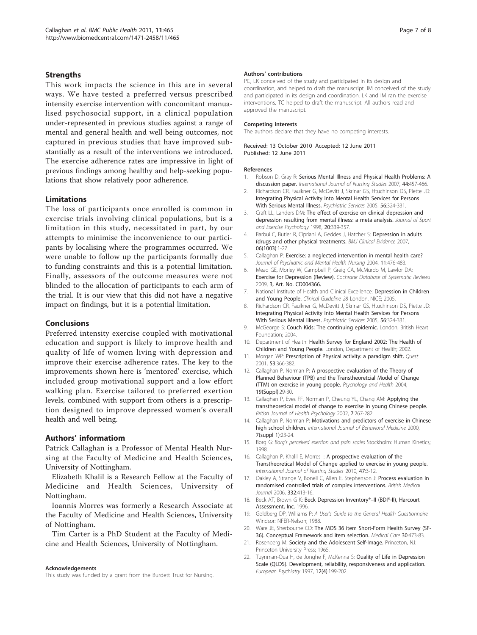#### <span id="page-6-0"></span>**Strengths**

This work impacts the science in this are in several ways. We have tested a preferred versus prescribed intensity exercise intervention with concomitant manualised psychosocial support, in a clinical population under-represented in previous studies against a range of mental and general health and well being outcomes, not captured in previous studies that have improved substantially as a result of the interventions we introduced. The exercise adherence rates are impressive in light of previous findings among healthy and help-seeking populations that show relatively poor adherence.

#### Limitations

The loss of participants once enrolled is common in exercise trials involving clinical populations, but is a limitation in this study, necessitated in part, by our attempts to minimise the inconvenience to our participants by localising where the programmes occurred. We were unable to follow up the participants formally due to funding constraints and this is a potential limitation. Finally, assessors of the outcome measures were not blinded to the allocation of participants to each arm of the trial. It is our view that this did not have a negative impact on findings, but it is a potential limitation.

#### **Conclusions**

Preferred intensity exercise coupled with motivational education and support is likely to improve health and quality of life of women living with depression and improve their exercise adherence rates. The key to the improvements shown here is 'mentored' exercise, which included group motivational support and a low effort walking plan. Exercise tailored to preferred exertion levels, combined with support from others is a prescription designed to improve depressed women's overall health and well being.

#### Authors' informatiom

Patrick Callaghan is a Professor of Mental Health Nursing at the Faculty of Medicine and Health Sciences, University of Nottingham.

Elizabeth Khalil is a Research Fellow at the Faculty of Medicine and Health Sciences, University of Nottingham.

Ioannis Morres was formerly a Research Associate at the Faculty of Medicine and Health Sciences, University of Nottingham.

Tim Carter is a PhD Student at the Faculty of Medicine and Health Sciences, University of Nottingham.

#### Acknowledgements

This study was funded by a grant from the Burdett Trust for Nursing.

#### Authors' contributions

PC, LK conceived of the study and participated in its design and coordination, and helped to draft the manuscript. IM conceived of the study and participated in its design and coordination. LK and IM ran the exercise interventions. TC helped to draft the manuscript. All authors read and approved the manuscript.

#### Competing interests

The authors declare that they have no competing interests.

Received: 13 October 2010 Accepted: 12 June 2011 Published: 12 June 2011

#### References

- Robson D, Gray R: [Serious Mental Illness and Physical Health Problems: A](http://www.ncbi.nlm.nih.gov/pubmed/17007859?dopt=Abstract) [discussion paper.](http://www.ncbi.nlm.nih.gov/pubmed/17007859?dopt=Abstract) International Journal of Nursing Studies 2007, 44:457-466.
- 2. Richardson CR, Faulkner G, McDevitt J, Skrinar GS, Htuchinson DS, Piette JD: [Integrating Physical Activity Into Mental Health Services for Persons](http://www.ncbi.nlm.nih.gov/pubmed/15746508?dopt=Abstract) [With Serious Mental Illness.](http://www.ncbi.nlm.nih.gov/pubmed/15746508?dopt=Abstract) Psychiatric Services 2005, 56:324-331.
- 3. Craft LL, Landers DM: The effect of exercise on clinical depression and depression resulting from mental illness: a meta analysis. Journal of Sport and Exercise Psychology 1998, 20:339-357.
- 4. Barbui C, Butler R, Cipriani A, Geddes J, Hatcher S: Depression in adults (drugs and other physical treatments. BMJ Clinical Evidence 2007, 06(1003):1-27.
- 5. Callaghan P: [Exercise: a neglected intervention in mental health care?](http://www.ncbi.nlm.nih.gov/pubmed/15255923?dopt=Abstract) Journal of Psychiatric and Mental Health Nursing 2004, 11:476-483.
- 6. Mead GE, Morley W, Campbell P, Greig CA, McMurdo M, Lawlor DA: Exercise for Depression (Review). Cochrane Database of Systematic Reviews 2009, 3, Art. No. CD004366.
- National Institute of Health and Clinical Excellence: Depression in Children and Young People. Clinical Guideline 28 London, NICE; 2005.
- 8. Richardson CR, Faulkner G, McDevitt J, Skrinar GS, Htuchinson DS, Piette JD: [Integrating Physical Activity Into Mental Health Services for Persons](http://www.ncbi.nlm.nih.gov/pubmed/15746508?dopt=Abstract) [With Serious Mental Illness.](http://www.ncbi.nlm.nih.gov/pubmed/15746508?dopt=Abstract) Psychiatric Services 2005, 56:324-331.
- 9. McGeorge S: Couch Kids: The continuing epidemic. London, British Heart Foundation; 2004.
- 10. Department of Health: Health Survey for England 2002: The Health of Children and Young People. London, Department of Health; 2002.
- 11. Morgan WP: Prescription of Physical activity: a paradigm shift. Quest 2001, 53:366-382.
- 12. Callaghan P, Norman P: A prospective evaluation of the Theory of Planned Behaviour (TPB) and the Transtheoretcial Model of Change (TTM) on exercise in young people. Psychology and Health 2004, 19(Suppl):29-30.
- 13. Callaghan P, Eves FF, Norman P, Cheung YL, Chang AM: [Applying the](http://www.ncbi.nlm.nih.gov/pubmed/12614500?dopt=Abstract) [transtheoretical model of change to exercise in young Chinese people.](http://www.ncbi.nlm.nih.gov/pubmed/12614500?dopt=Abstract) British Journal of Health Psychology 2002, 7:267-282.
- 14. Callaghan P, Norman P: Motivations and predictors of exercise in Chinese high school children. International Journal of Behavioral Medicine 2000, 7(suppl 1):23-24.
- 15. Borg G: Borg's perceived exertion and pain scales Stockholm: Human Kinetics; 1998.
- 16. Callaghan P, Khalil E, Morres I: [A prospective evaluation of the](http://www.ncbi.nlm.nih.gov/pubmed/19646693?dopt=Abstract) [Transtheoretical Model of Change applied to exercise in young people.](http://www.ncbi.nlm.nih.gov/pubmed/19646693?dopt=Abstract) International Journal of Nursing Studies 2010, 47:3-12.
- 17. Oakley A, Strange V, Bonell C, Allen E, Stephenson J: [Process evaluation in](http://www.ncbi.nlm.nih.gov/pubmed/16484270?dopt=Abstract) [randomised controlled trials of complex interventions.](http://www.ncbi.nlm.nih.gov/pubmed/16484270?dopt=Abstract) British Medical Journal 2006, 332:413-16.
- 18. Beck AT, Brown G K: Beck Depression Inventory®-II (BDI®-II), Harcourt Assessment, Inc. 1996.
- 19. Goldberg DP, Williams P: A User's Guide to the General Health Questionnaire Windsor: NFER-Nelson; 1988.
- 20. Ware JE, Sherbourne CD: The MOS 36 item Short-Form Health Survey (SF-36). Conceptual Framework and item selection. Medical Care 30:473-83.
- 21. Rosenberg M: Society and the Adolescent Self-Image. Princeton, NJ: Princeton University Press; 1965.
- 22. Tuynman-Qua H, de Jonghe F, McKenna S: [Quality of Life in Depression](http://www.ncbi.nlm.nih.gov/pubmed/19698532?dopt=Abstract) [Scale \(QLDS\). Development, reliability, responsiveness and application.](http://www.ncbi.nlm.nih.gov/pubmed/19698532?dopt=Abstract) European Psychiatry 1997, 12(4):199-202.